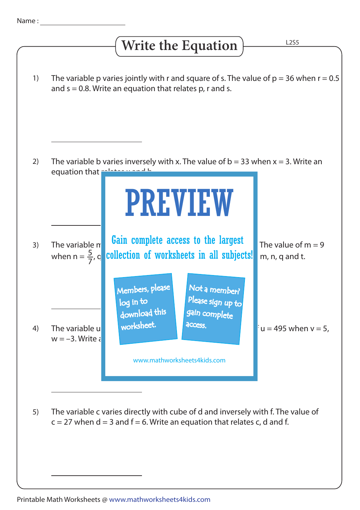## **Write the Equation**